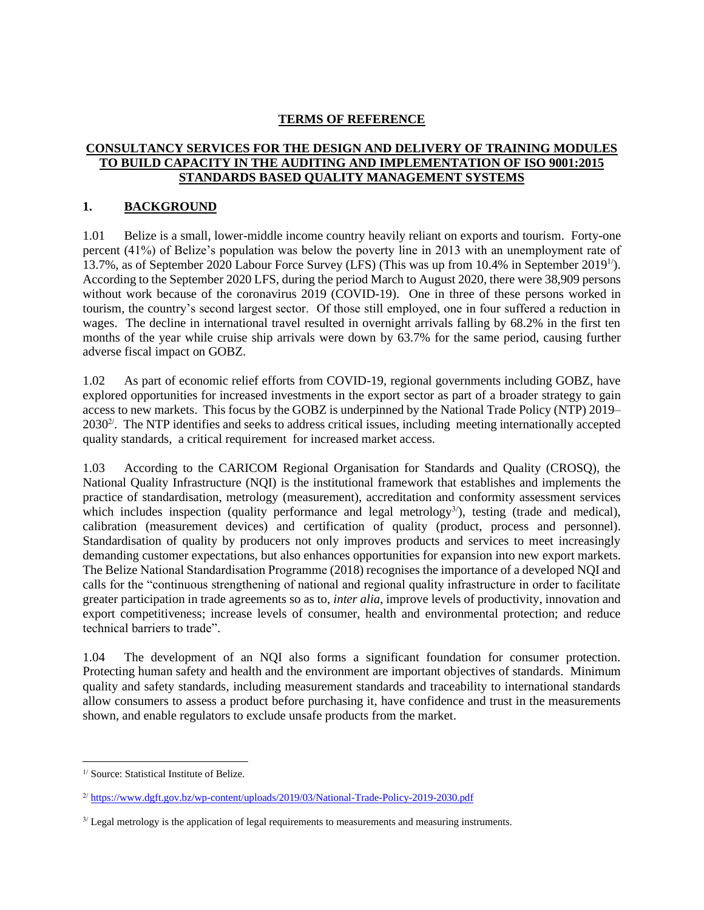### **TERMS OF REFERENCE**

### **CONSULTANCY SERVICES FOR THE DESIGN AND DELIVERY OF TRAINING MODULES TO BUILD CAPACITY IN THE AUDITING AND IMPLEMENTATION OF ISO 9001:2015 STANDARDS BASED QUALITY MANAGEMENT SYSTEMS**

#### **1. BACKGROUND**

1.01 Belize is a small, lower-middle income country heavily reliant on exports and tourism. Forty-one percent (41%) of Belize's population was below the poverty line in 2013 with an unemployment rate of 13.7%, as of September 2020 Labour Force Survey (LFS) (This was up from 10.4% in September 2019<sup>1</sup>). According to the September 2020 LFS, during the period March to August 2020, there were 38,909 persons without work because of the coronavirus 2019 (COVID-19). One in three of these persons worked in tourism, the country's second largest sector. Of those still employed, one in four suffered a reduction in wages. The decline in international travel resulted in overnight arrivals falling by 68.2% in the first ten months of the year while cruise ship arrivals were down by 63.7% for the same period, causing further adverse fiscal impact on GOBZ.

1.02 As part of economic relief efforts from COVID-19, regional governments including GOBZ, have explored opportunities for increased investments in the export sector as part of a broader strategy to gain access to new markets. This focus by the GOBZ is underpinned by the National Trade Policy (NTP) 2019–  $2030<sup>2</sup>$ . The NTP identifies and seeks to address critical issues, including meeting internationally accepted quality standards, a critical requirement for increased market access.

1.03 According to the CARICOM Regional Organisation for Standards and Quality (CROSQ), the National Quality Infrastructure (NQI) is the institutional framework that establishes and implements the practice of standardisation, metrology (measurement), accreditation and conformity assessment services which includes inspection (quality performance and legal metrology<sup>3/</sup>), testing (trade and medical), calibration (measurement devices) and certification of quality (product, process and personnel). Standardisation of quality by producers not only improves products and services to meet increasingly demanding customer expectations, but also enhances opportunities for expansion into new export markets. The Belize National Standardisation Programme (2018) recognises the importance of a developed NQI and calls for the "continuous strengthening of national and regional quality infrastructure in order to facilitate greater participation in trade agreements so as to, *inter alia*, improve levels of productivity, innovation and export competitiveness; increase levels of consumer, health and environmental protection; and reduce technical barriers to trade".

1.04 The development of an NQI also forms a significant foundation for consumer protection. Protecting human safety and health and the environment are important objectives of standards. Minimum quality and safety standards, including measurement standards and traceability to international standards allow consumers to assess a product before purchasing it, have confidence and trust in the measurements shown, and enable regulators to exclude unsafe products from the market.

<sup>1</sup>/ Source: Statistical Institute of Belize.

<sup>2</sup>/ <https://www.dgft.gov.bz/wp-content/uploads/2019/03/National-Trade-Policy-2019-2030.pdf>

<sup>&</sup>lt;sup>3/</sup> Legal metrology is the application of legal requirements to measurements and measuring instruments.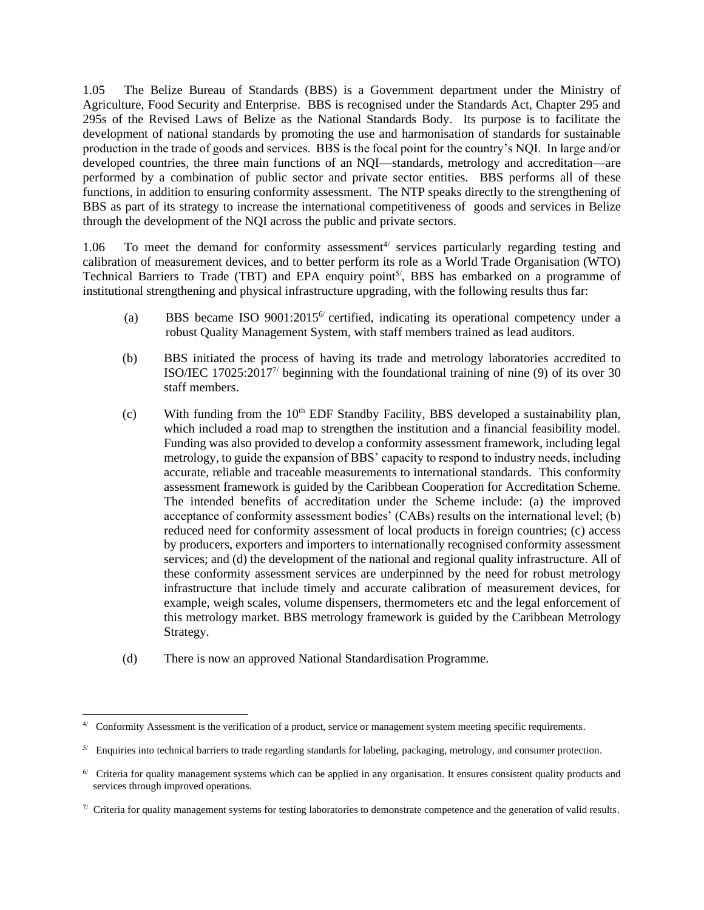1.05 The Belize Bureau of Standards (BBS) is a Government department under the Ministry of Agriculture, Food Security and Enterprise. BBS is recognised under the Standards Act, Chapter 295 and 295s of the Revised Laws of Belize as the National Standards Body. Its purpose is to facilitate the development of national standards by promoting the use and harmonisation of standards for sustainable production in the trade of goods and services. BBS is the focal point for the country's NQI. In large and/or developed countries, the three main functions of an NQI—standards, metrology and accreditation—are performed by a combination of public sector and private sector entities. BBS performs all of these functions, in addition to ensuring conformity assessment. The NTP speaks directly to the strengthening of BBS as part of its strategy to increase the international competitiveness of goods and services in Belize through the development of the NQI across the public and private sectors.

1.06 To meet the demand for conformity assessment<sup>4/</sup> services particularly regarding testing and calibration of measurement devices, and to better perform its role as a World Trade Organisation (WTO) Technical Barriers to Trade (TBT) and EPA enquiry point<sup>5/</sup>, BBS has embarked on a programme of institutional strengthening and physical infrastructure upgrading, with the following results thus far:

- (a) BBS became ISO  $9001:2015^6$  certified, indicating its operational competency under a robust Quality Management System, with staff members trained as lead auditors.
- (b) BBS initiated the process of having its trade and metrology laboratories accredited to ISO/IEC 17025:2017<sup>7/</sup> beginning with the foundational training of nine (9) of its over 30 staff members.
- (c) With funding from the  $10<sup>th</sup>$  EDF Standby Facility, BBS developed a sustainability plan, which included a road map to strengthen the institution and a financial feasibility model. Funding was also provided to develop a conformity assessment framework, including legal metrology, to guide the expansion of BBS' capacity to respond to industry needs, including accurate, reliable and traceable measurements to international standards. This conformity assessment framework is guided by the Caribbean Cooperation for Accreditation Scheme. The intended benefits of accreditation under the Scheme include: (a) the improved acceptance of conformity assessment bodies' (CABs) results on the international level; (b) reduced need for conformity assessment of local products in foreign countries; (c) access by producers, exporters and importers to internationally recognised conformity assessment services; and (d) the development of the national and regional quality infrastructure. All of these conformity assessment services are underpinned by the need for robust metrology infrastructure that include timely and accurate calibration of measurement devices, for example, weigh scales, volume dispensers, thermometers etc and the legal enforcement of this metrology market. BBS metrology framework is guided by the Caribbean Metrology Strategy.
- (d) There is now an approved National Standardisation Programme.

<sup>4</sup>/ Conformity Assessment is the verification of a product, service or management system meeting specific requirements.

<sup>5</sup>/ Enquiries into technical barriers to trade regarding standards for labeling, packaging, metrology, and consumer protection.

 $6/$  Criteria for quality management systems which can be applied in any organisation. It ensures consistent quality products and services through improved operations.

 $\%$  Criteria for quality management systems for testing laboratories to demonstrate competence and the generation of valid results.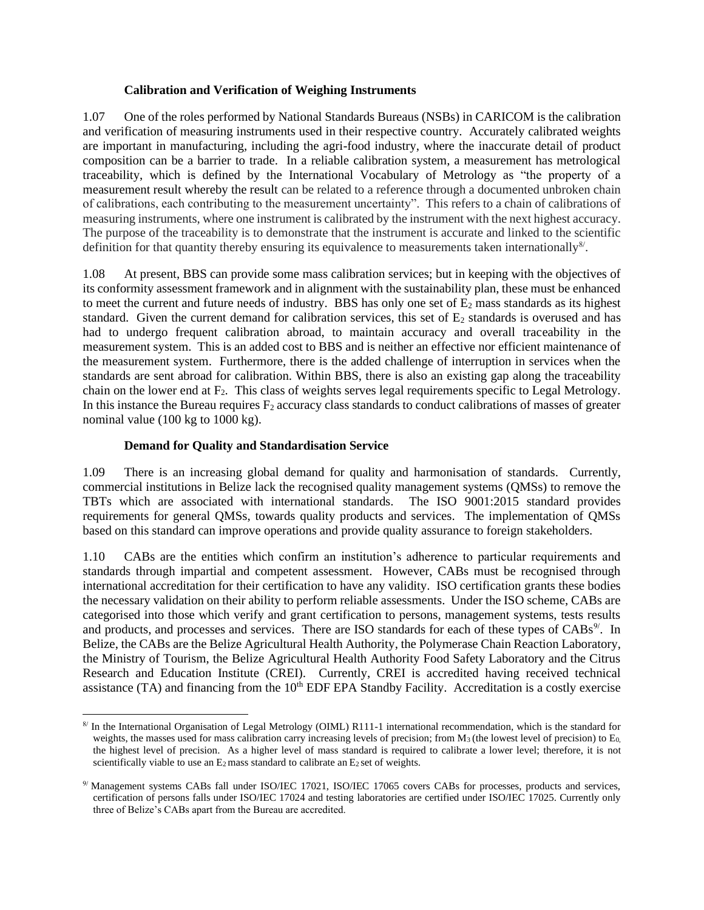#### **Calibration and Verification of Weighing Instruments**

1.07 One of the roles performed by National Standards Bureaus (NSBs) in CARICOM is the calibration and verification of measuring instruments used in their respective country. Accurately calibrated weights are important in manufacturing, including the agri-food industry, where the inaccurate detail of product composition can be a barrier to trade. In a reliable calibration system, a measurement has metrological traceability, which is defined by the International Vocabulary of Metrology as "the property of a measurement result whereby the result can be related to a reference through a documented unbroken chain of calibrations, each contributing to the measurement uncertainty". This refers to a chain of calibrations of measuring instruments, where one instrument is calibrated by the instrument with the next highest accuracy. The purpose of the traceability is to demonstrate that the instrument is accurate and linked to the scientific definition for that quantity thereby ensuring its equivalence to measurements taken internationally<sup>8/</sup>.

1.08 At present, BBS can provide some mass calibration services; but in keeping with the objectives of its conformity assessment framework and in alignment with the sustainability plan, these must be enhanced to meet the current and future needs of industry. BBS has only one set of  $E_2$  mass standards as its highest standard. Given the current demand for calibration services, this set of  $E_2$  standards is overused and has had to undergo frequent calibration abroad, to maintain accuracy and overall traceability in the measurement system. This is an added cost to BBS and is neither an effective nor efficient maintenance of the measurement system. Furthermore, there is the added challenge of interruption in services when the standards are sent abroad for calibration. Within BBS, there is also an existing gap along the traceability chain on the lower end at  $F_2$ . This class of weights serves legal requirements specific to Legal Metrology. In this instance the Bureau requires  $F_2$  accuracy class standards to conduct calibrations of masses of greater nominal value (100 kg to 1000 kg).

### **Demand for Quality and Standardisation Service**

1.09 There is an increasing global demand for quality and harmonisation of standards. Currently, commercial institutions in Belize lack the recognised quality management systems (QMSs) to remove the TBTs which are associated with international standards. The ISO 9001:2015 standard provides requirements for general QMSs, towards quality products and services. The implementation of QMSs based on this standard can improve operations and provide quality assurance to foreign stakeholders.

1.10 CABs are the entities which confirm an institution's adherence to particular requirements and standards through impartial and competent assessment. However, CABs must be recognised through international accreditation for their certification to have any validity. ISO certification grants these bodies the necessary validation on their ability to perform reliable assessments. Under the ISO scheme, CABs are categorised into those which verify and grant certification to persons, management systems, tests results and products, and processes and services. There are ISO standards for each of these types of CABs<sup>9/</sup>. In Belize, the CABs are the Belize Agricultural Health Authority, the Polymerase Chain Reaction Laboratory, the Ministry of Tourism, the Belize Agricultural Health Authority Food Safety Laboratory and the Citrus Research and Education Institute (CREI). Currently, CREI is accredited having received technical assistance (TA) and financing from the  $10<sup>th</sup>$  EDF EPA Standby Facility. Accreditation is a costly exercise

<sup>8</sup>/ In the International Organisation of Legal Metrology (OIML) R111-1 international recommendation, which is the standard for weights, the masses used for mass calibration carry increasing levels of precision; from  $M_3$  (the lowest level of precision) to E<sub>0</sub>, the highest level of precision. As a higher level of mass standard is required to calibrate a lower level; therefore, it is not scientifically viable to use an  $E_2$  mass standard to calibrate an  $E_2$  set of weights.

<sup>9</sup>/ Management systems CABs fall under ISO/IEC 17021, ISO/IEC 17065 covers CABs for processes, products and services, certification of persons falls under ISO/IEC 17024 and testing laboratories are certified under ISO/IEC 17025. Currently only three of Belize's CABs apart from the Bureau are accredited.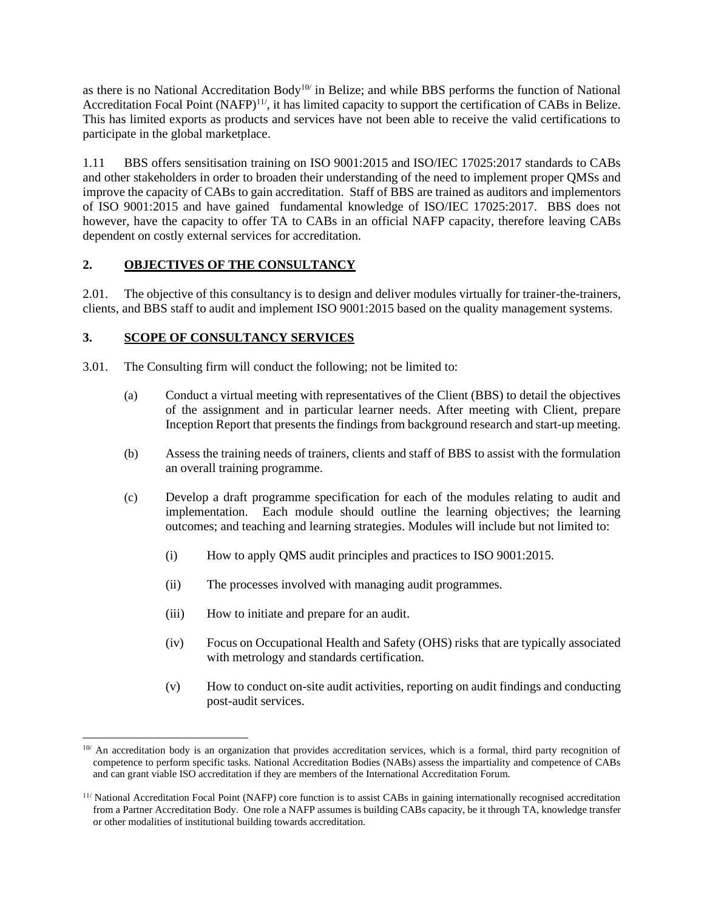as there is no National Accreditation Body<sup>10/</sup> in Belize; and while BBS performs the function of National Accreditation Focal Point  $(NAFP)^{11}$ , it has limited capacity to support the certification of CABs in Belize. This has limited exports as products and services have not been able to receive the valid certifications to participate in the global marketplace.

1.11 BBS offers sensitisation training on ISO 9001:2015 and ISO/IEC 17025:2017 standards to CABs and other stakeholders in order to broaden their understanding of the need to implement proper QMSs and improve the capacity of CABs to gain accreditation. Staff of BBS are trained as auditors and implementors of ISO 9001:2015 and have gained fundamental knowledge of ISO/IEC 17025:2017. BBS does not however, have the capacity to offer TA to CABs in an official NAFP capacity, therefore leaving CABs dependent on costly external services for accreditation.

## **2. OBJECTIVES OF THE CONSULTANCY**

2.01. The objective of this consultancy is to design and deliver modules virtually for trainer-the-trainers, clients, and BBS staff to audit and implement ISO 9001:2015 based on the quality management systems.

## **3. SCOPE OF CONSULTANCY SERVICES**

- 3.01. The Consulting firm will conduct the following; not be limited to:
	- (a) Conduct a virtual meeting with representatives of the Client (BBS) to detail the objectives of the assignment and in particular learner needs. After meeting with Client, prepare Inception Report that presents the findings from background research and start-up meeting.
	- (b) Assess the training needs of trainers, clients and staff of BBS to assist with the formulation an overall training programme.
	- (c) Develop a draft programme specification for each of the modules relating to audit and implementation. Each module should outline the learning objectives; the learning outcomes; and teaching and learning strategies. Modules will include but not limited to:
		- (i) How to apply QMS audit principles and practices to ISO 9001:2015.
		- (ii) The processes involved with managing audit programmes.
		- (iii) How to initiate and prepare for an audit.
		- (iv) Focus on Occupational Health and Safety (OHS) risks that are typically associated with metrology and standards certification.
		- (v) How to conduct on-site audit activities, reporting on audit findings and conducting post-audit services.

<sup>&</sup>lt;sup>10/</sup> An accreditation body is an organization that provides accreditation services, which is a formal, third party recognition of competence to perform specific tasks. National Accreditation Bodies (NABs) assess the impartiality and competence of CABs and can grant viable ISO accreditation if they are members of the International Accreditation Forum.

 $11/$  National Accreditation Focal Point (NAFP) core function is to assist CABs in gaining internationally recognised accreditation from a Partner Accreditation Body. One role a NAFP assumes is building CABs capacity, be it through TA, knowledge transfer or other modalities of institutional building towards accreditation.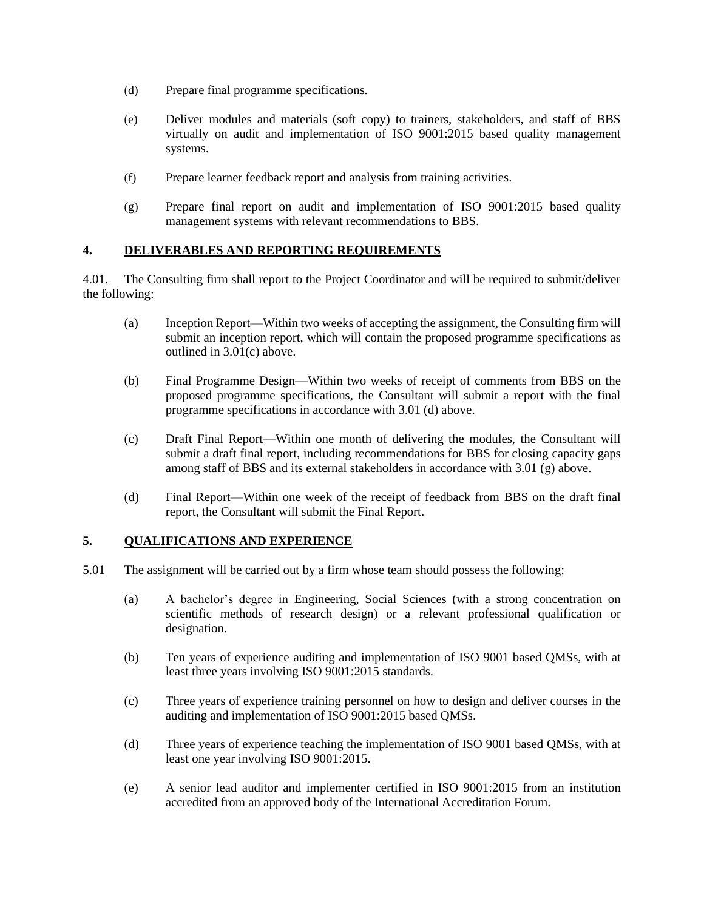- (d) Prepare final programme specifications.
- (e) Deliver modules and materials (soft copy) to trainers, stakeholders, and staff of BBS virtually on audit and implementation of ISO 9001:2015 based quality management systems.
- (f) Prepare learner feedback report and analysis from training activities.
- (g) Prepare final report on audit and implementation of ISO 9001:2015 based quality management systems with relevant recommendations to BBS.

### **4. DELIVERABLES AND REPORTING REQUIREMENTS**

4.01. The Consulting firm shall report to the Project Coordinator and will be required to submit/deliver the following:

- (a) Inception Report—Within two weeks of accepting the assignment, the Consulting firm will submit an inception report, which will contain the proposed programme specifications as outlined in 3.01(c) above.
- (b) Final Programme Design—Within two weeks of receipt of comments from BBS on the proposed programme specifications, the Consultant will submit a report with the final programme specifications in accordance with 3.01 (d) above.
- (c) Draft Final Report—Within one month of delivering the modules, the Consultant will submit a draft final report, including recommendations for BBS for closing capacity gaps among staff of BBS and its external stakeholders in accordance with 3.01 (g) above.
- (d) Final Report—Within one week of the receipt of feedback from BBS on the draft final report, the Consultant will submit the Final Report.

#### **5. QUALIFICATIONS AND EXPERIENCE**

- 5.01 The assignment will be carried out by a firm whose team should possess the following:
	- (a) A bachelor's degree in Engineering, Social Sciences (with a strong concentration on scientific methods of research design) or a relevant professional qualification or designation.
	- (b) Ten years of experience auditing and implementation of ISO 9001 based QMSs, with at least three years involving ISO 9001:2015 standards.
	- (c) Three years of experience training personnel on how to design and deliver courses in the auditing and implementation of ISO 9001:2015 based QMSs.
	- (d) Three years of experience teaching the implementation of ISO 9001 based QMSs, with at least one year involving ISO 9001:2015.
	- (e) A senior lead auditor and implementer certified in ISO 9001:2015 from an institution accredited from an approved body of the International Accreditation Forum.